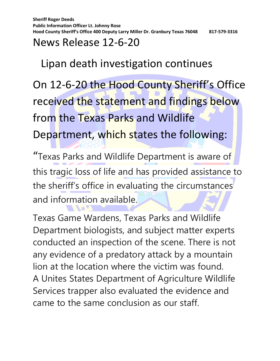**Sheriff Roger Deeds Public Information Officer Lt. Johnny Rose Hood County Sheriff's Office 400 Deputy Larry Miller Dr. Granbury Texas 76048 817-579-3316**

## News Release 12-6-20

## Lipan death investigation continues

On 12-6-20 the Hood County Sheriff's Office received the statement and findings below from the Texas Parks and Wildlife Department, which states the following:

"Texas Parks and Wildlife Department is aware of this tragic loss of life and has provided assistance to the sheriff's office in evaluating the circumstances and information available.

Texas Game Wardens, Texas Parks and Wildlife Department biologists, and subject matter experts conducted an inspection of the scene. There is not any evidence of a predatory attack by a mountain lion at the location where the victim was found. A Unites States Department of Agriculture Wildlife Services trapper also evaluated the evidence and came to the same conclusion as our staff.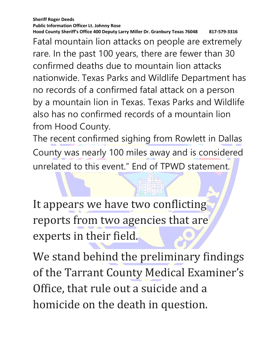**Sheriff Roger Deeds Public Information Officer Lt. Johnny Rose Hood County Sheriff's Office 400 Deputy Larry Miller Dr. Granbury Texas 76048 817-579-3316**

Fatal mountain lion attacks on people are extremely rare. In the past 100 years, there are fewer than 30 confirmed deaths due to mountain lion attacks nationwide. Texas Parks and Wildlife Department has no records of a confirmed fatal attack on a person by a mountain lion in Texas. Texas Parks and Wildlife also has no confirmed records of a mountain lion from Hood County.

The recent confirmed sighing from Rowlett in Dallas County was nearly 100 miles away and is considered unrelated to this event." End of TPWD statement.

It appears we have two conflicting reports from two agencies that are experts in their field.

We stand behind the preliminary findings of the Tarrant County Medical Examiner's Office, that rule out a suicide and a homicide on the death in question.